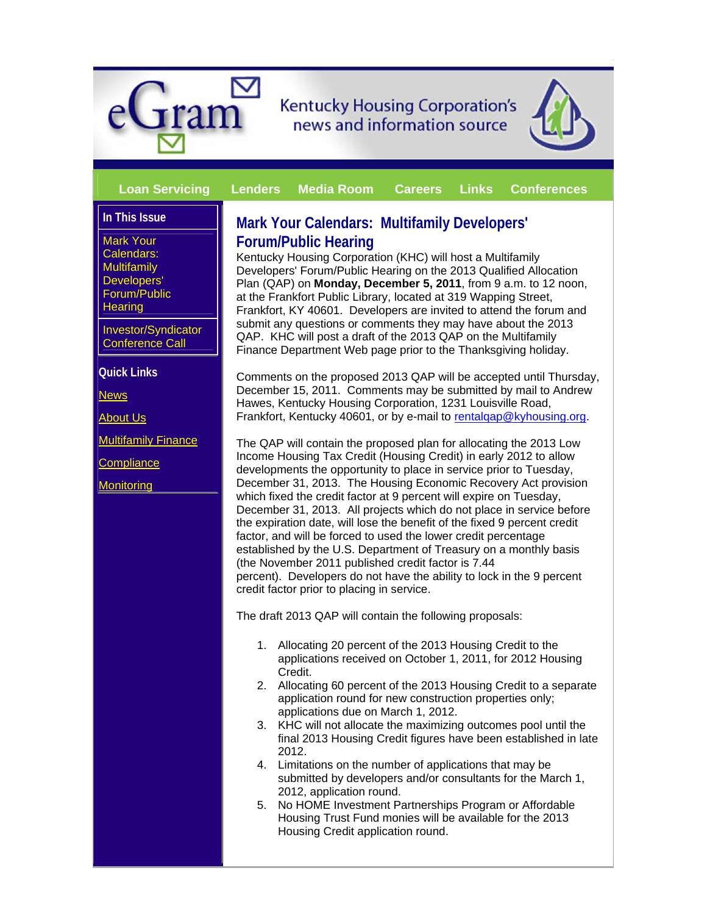



#### **Loan Servicing Lenders Media Room Careers Links Conferences**

# **In This Issue**

Mark Your Calendars: **Multifamily** Developers' Forum/Public **Hearing** 

Investor/Syndicator Conference Call

**Quick Links**

**News** 

About Us

Multifamily Finance

**Compliance** 

**Monitoring** 

# **Mark Your Calendars: Multifamily Developers' Forum/Public Hearing**

Kentucky Housing Corporation (KHC) will host a Multifamily Developers' Forum/Public Hearing on the 2013 Qualified Allocation Plan (QAP) on **Monday, December 5, 2011**, from 9 a.m. to 12 noon, at the Frankfort Public Library, located at 319 Wapping Street, Frankfort, KY 40601. Developers are invited to attend the forum and submit any questions or comments they may have about the 2013 QAP. KHC will post a draft of the 2013 QAP on the Multifamily Finance Department Web page prior to the Thanksgiving holiday.

Comments on the proposed 2013 QAP will be accepted until Thursday, December 15, 2011. Comments may be submitted by mail to Andrew Hawes, Kentucky Housing Corporation, 1231 Louisville Road, Frankfort, Kentucky 40601, or by e-mail to rentalgap@kyhousing.org.

The QAP will contain the proposed plan for allocating the 2013 Low Income Housing Tax Credit (Housing Credit) in early 2012 to allow developments the opportunity to place in service prior to Tuesday, December 31, 2013. The Housing Economic Recovery Act provision which fixed the credit factor at 9 percent will expire on Tuesday, December 31, 2013. All projects which do not place in service before the expiration date, will lose the benefit of the fixed 9 percent credit factor, and will be forced to used the lower credit percentage established by the U.S. Department of Treasury on a monthly basis (the November 2011 published credit factor is 7.44 percent). Developers do not have the ability to lock in the 9 percent credit factor prior to placing in service.

The draft 2013 QAP will contain the following proposals:

- 1. Allocating 20 percent of the 2013 Housing Credit to the applications received on October 1, 2011, for 2012 Housing Credit.
- 2. Allocating 60 percent of the 2013 Housing Credit to a separate application round for new construction properties only; applications due on March 1, 2012.
- 3. KHC will not allocate the maximizing outcomes pool until the final 2013 Housing Credit figures have been established in late 2012.
- 4. Limitations on the number of applications that may be submitted by developers and/or consultants for the March 1, 2012, application round.
- 5. No HOME Investment Partnerships Program or Affordable Housing Trust Fund monies will be available for the 2013 Housing Credit application round.